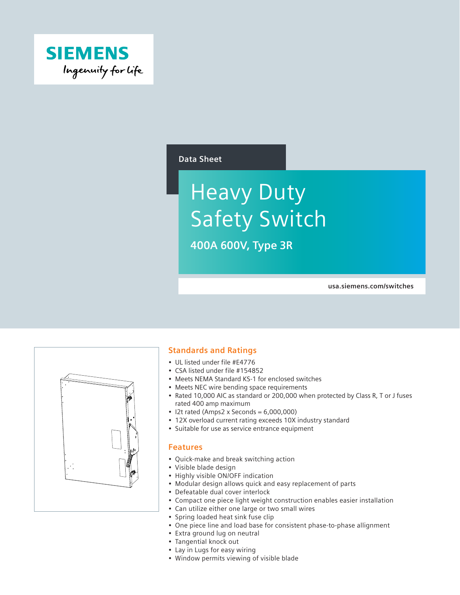

#### **Data Sheet**

# Heavy Duty Safety Switch

**400A 600V, Type 3R**

**usa.siemens.com/switches**



#### **Standards and Ratings**

- UL listed under file #E4776
- CSA listed under file #154852
- Meets NEMA Standard KS-1 for enclosed switches
- Meets NEC wire bending space requirements
- Rated 10,000 AIC as standard or 200,000 when protected by Class R, T or J fuses rated 400 amp maximum
- $\bullet$  I2t rated (Amps2 x Seconds = 6,000,000)
- 12X overload current rating exceeds 10X industry standard
- Suitable for use as service entrance equipment

#### **Features**

- Quick-make and break switching action
- Visible blade design
- Highly visible ON/OFF indication
- Modular design allows quick and easy replacement of parts
- Defeatable dual cover interlock
- Compact one piece light weight construction enables easier installation
- Can utilize either one large or two small wires
- Spring loaded heat sink fuse clip
- One piece line and load base for consistent phase-to-phase allignment
- Extra ground lug on neutral
- Tangential knock out
- Lay in Lugs for easy wiring
- Window permits viewing of visible blade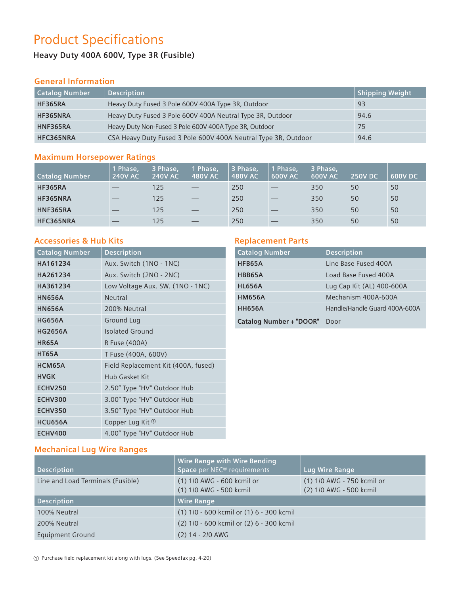# Product Specifications

# **Heavy Duty 400A 600V, Type 3R (Fusible)**

## **General Information**

| <b>Catalog Number</b> | <b>Description</b>                                             | Shipping Weight |
|-----------------------|----------------------------------------------------------------|-----------------|
| <b>HF365RA</b>        | Heavy Duty Fused 3 Pole 600V 400A Type 3R, Outdoor             | 93              |
| HF365NRA              | Heavy Duty Fused 3 Pole 600V 400A Neutral Type 3R, Outdoor     | 94.6            |
| HNF365RA              | Heavy Duty Non-Fused 3 Pole 600V 400A Type 3R, Outdoor         | 75              |
| HFC365NRA             | CSA Heavy Duty Fused 3 Pole 600V 400A Neutral Type 3R, Outdoor | 94.6            |

#### **Maximum Horsepower Ratings**

| <b>Catalog Number</b> | 1 Phase.<br><b>240V AC</b> | 3 Phase,<br><b>240V AC</b> | Phase,<br><b>480V AC</b> | 3 Phase,<br><b>480V AC</b> | 1 Phase,<br><b>600V AC</b> | 3 Phase,<br><b>600V AC</b> | <b>250V DC</b> | <b>600V DC</b> |
|-----------------------|----------------------------|----------------------------|--------------------------|----------------------------|----------------------------|----------------------------|----------------|----------------|
| <b>HF365RA</b>        |                            | 125                        |                          | 250                        |                            | 350                        | 50             | 50             |
| HF365NRA              |                            | 125                        |                          | 250                        |                            | 350                        | 50             | 50             |
| <b>HNF365RA</b>       |                            | 125                        |                          | 250                        |                            | 350                        | 50             | 50             |
| HFC365NRA             |                            | 125                        | __                       | 250                        |                            | 350                        | 50             | 50             |

### **Accessories & Hub Kits**

| <b>Catalog Number</b> | <b>Description</b>                  |
|-----------------------|-------------------------------------|
| HA161234              | Aux. Switch (1NO - 1NC)             |
| HA261234              | Aux. Switch (2NO - 2NC)             |
| HA361234              | Low Voltage Aux. SW. (1NO - 1NC)    |
| <b>HN656A</b>         | <b>Neutral</b>                      |
| <b>HN656A</b>         | 200% Neutral                        |
| <b>HG656A</b>         | <b>Ground Lug</b>                   |
| <b>HG2656A</b>        | <b>Isolated Ground</b>              |
| <b>HR65A</b>          | <b>R Fuse (400A)</b>                |
| <b>HT65A</b>          | T Fuse (400A, 600V)                 |
| HCM65A                | Field Replacement Kit (400A, fused) |
| <b>HVGK</b>           | <b>Hub Gasket Kit</b>               |
| <b>ECHV250</b>        | 2.50" Type "HV" Outdoor Hub         |
| <b>ECHV300</b>        | 3.00" Type "HV" Outdoor Hub         |
| <b>ECHV350</b>        | 3.50" Type "HV" Outdoor Hub         |
| HCU656A               | Copper Lug Kit <sup>1</sup>         |
| <b>ECHV400</b>        | 4.00" Type "HV" Outdoor Hub         |

## **Replacement Parts**

| <b>Catalog Number</b>          | <b>Description</b>            |
|--------------------------------|-------------------------------|
| HFB65A                         | Line Base Fused 400A          |
| HBB65A                         | Load Base Fused 400A          |
| <b>HL656A</b>                  | Lug Cap Kit (AL) 400-600A     |
| <b>HM656A</b>                  | Mechanism 400A-600A           |
| <b>HH656A</b>                  | Handle/Handle Guard 400A-600A |
| <b>Catalog Number + "DOOR"</b> | Door                          |

### **Mechanical Lug Wire Ranges**

| <b>Description</b>                | <b>Wire Range with Wire Bending</b><br>Space per NEC <sup>®</sup> requirements | Lug Wire Range                                        |
|-----------------------------------|--------------------------------------------------------------------------------|-------------------------------------------------------|
| Line and Load Terminals (Fusible) | (1) 1/0 AWG - 600 kcmil or<br>(1) 1/0 AWG - 500 kcmil                          | (1) 1/0 AWG - 750 kcmil or<br>(2) 1/0 AWG - 500 kcmil |
| <b>Description</b>                | <b>Wire Range</b>                                                              |                                                       |
| 100% Neutral                      | (1) 1/0 - 600 kcmil or (1) 6 - 300 kcmil                                       |                                                       |
| 200% Neutral                      | (2) 1/0 - 600 kcmil or (2) 6 - 300 kcmil                                       |                                                       |
| <b>Equipment Ground</b>           | $(2)$ 14 - 2/0 AWG                                                             |                                                       |

a Purchase field replacement kit along with lugs. (See Speedfax pg. 4-20)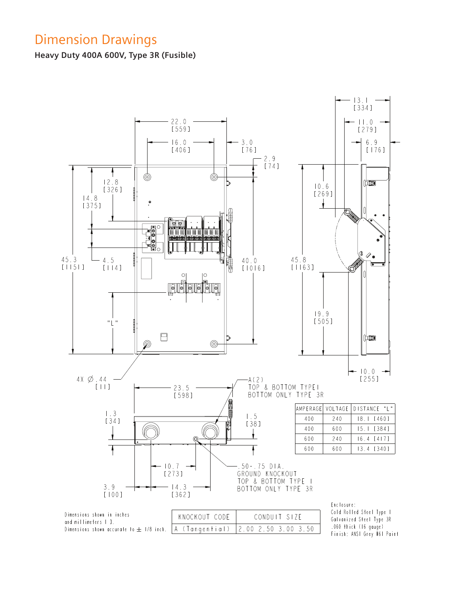# Dimension Drawings

**Heavy Duty 400A 600V, Type 3R (Fusible)**